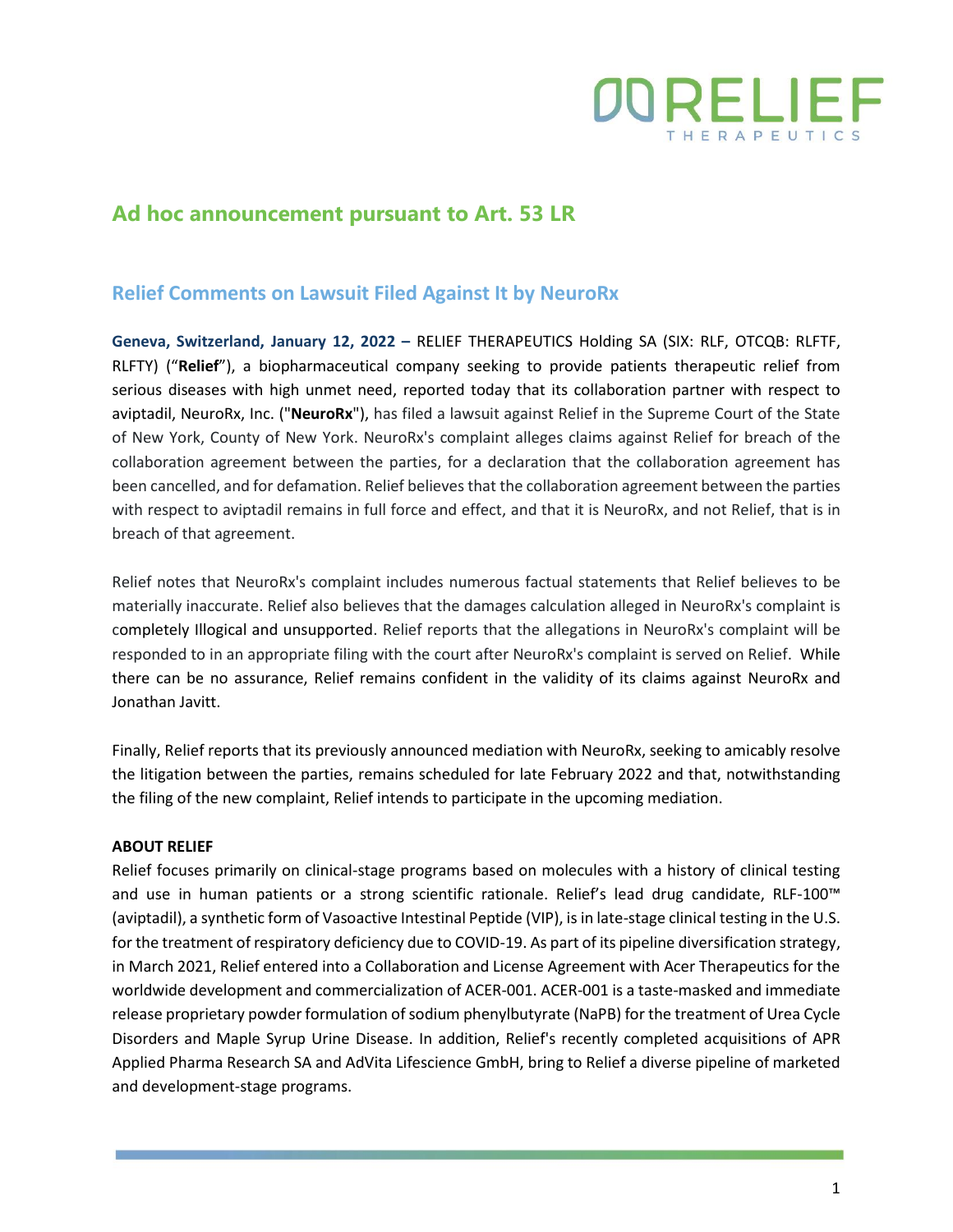

## **Ad hoc announcement pursuant to Art. 53 LR**

## **Relief Comments on Lawsuit Filed Against It by NeuroRx**

**Geneva, Switzerland, January 12, 2022 –** RELIEF THERAPEUTICS Holding SA (SIX: RLF, OTCQB: RLFTF, RLFTY) ("**Relief**"), a biopharmaceutical company seeking to provide patients therapeutic relief from serious diseases with high unmet need, reported today that its collaboration partner with respect to aviptadil, NeuroRx, Inc. ("**NeuroRx**"), has filed a lawsuit against Relief in the Supreme Court of the State of New York, County of New York. NeuroRx's complaint alleges claims against Relief for breach of the collaboration agreement between the parties, for a declaration that the collaboration agreement has been cancelled, and for defamation. Relief believes that the collaboration agreement between the parties with respect to aviptadil remains in full force and effect, and that it is NeuroRx, and not Relief, that is in breach of that agreement.

Relief notes that NeuroRx's complaint includes numerous factual statements that Relief believes to be materially inaccurate. Relief also believes that the damages calculation alleged in NeuroRx's complaint is completely Illogical and unsupported. Relief reports that the allegations in NeuroRx's complaint will be responded to in an appropriate filing with the court after NeuroRx's complaint is served on Relief. While there can be no assurance, Relief remains confident in the validity of its claims against NeuroRx and Jonathan Javitt.

Finally, Relief reports that its previously announced mediation with NeuroRx, seeking to amicably resolve the litigation between the parties, remains scheduled for late February 2022 and that, notwithstanding the filing of the new complaint, Relief intends to participate in the upcoming mediation.

## **ABOUT RELIEF**

Relief focuses primarily on clinical-stage programs based on molecules with a history of clinical testing and use in human patients or a strong scientific rationale. Relief's lead drug candidate, RLF-100™ (aviptadil), a synthetic form of Vasoactive Intestinal Peptide (VIP), is in late-stage clinical testing in the U.S. for the treatment of respiratory deficiency due to COVID-19. As part of its pipeline diversification strategy, in March 2021, Relief entered into a Collaboration and License Agreement with Acer Therapeutics for the worldwide development and commercialization of ACER-001. ACER-001 is a taste-masked and immediate release proprietary powder formulation of sodium phenylbutyrate (NaPB) for the treatment of Urea Cycle Disorders and Maple Syrup Urine Disease. In addition, Relief's recently completed acquisitions of APR Applied Pharma Research SA and AdVita Lifescience GmbH, bring to Relief a diverse pipeline of marketed and development-stage programs.